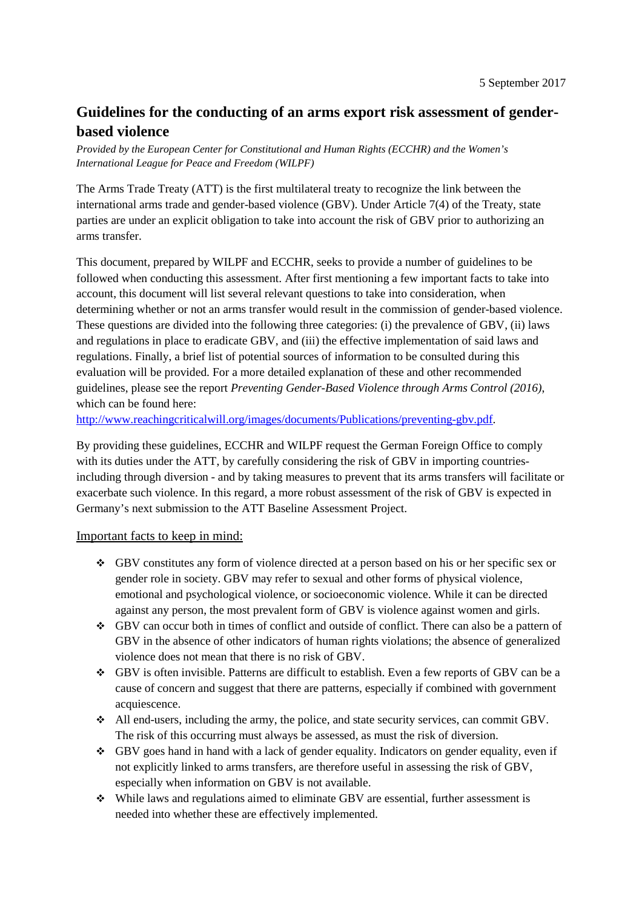## **Guidelines for the conducting of an arms export risk assessment of genderbased violence**

*Provided by the European Center for Constitutional and Human Rights (ECCHR) and the Women's International League for Peace and Freedom (WILPF)*

The Arms Trade Treaty (ATT) is the first multilateral treaty to recognize the link between the international arms trade and gender-based violence (GBV). Under Article 7(4) of the Treaty, state parties are under an explicit obligation to take into account the risk of GBV prior to authorizing an arms transfer.

This document, prepared by WILPF and ECCHR, seeks to provide a number of guidelines to be followed when conducting this assessment. After first mentioning a few important facts to take into account, this document will list several relevant questions to take into consideration, when determining whether or not an arms transfer would result in the commission of gender-based violence. These questions are divided into the following three categories: (i) the prevalence of GBV, (ii) laws and regulations in place to eradicate GBV, and (iii) the effective implementation of said laws and regulations. Finally, a brief list of potential sources of information to be consulted during this evaluation will be provided. For a more detailed explanation of these and other recommended guidelines, please see the report *Preventing Gender-Based Violence through Arms Control (2016)*, which can be found here:

http://www.reachingcriticalwill.org/images/documents/Publications/preventing-gbv.pdf.

By providing these guidelines, ECCHR and WILPF request the German Foreign Office to comply with its duties under the ATT, by carefully considering the risk of GBV in importing countriesincluding through diversion - and by taking measures to prevent that its arms transfers will facilitate or exacerbate such violence. In this regard, a more robust assessment of the risk of GBV is expected in Germany's next submission to the ATT Baseline Assessment Project.

## Important facts to keep in mind:

- GBV constitutes any form of violence directed at a person based on his or her specific sex or gender role in society. GBV may refer to sexual and other forms of physical violence, emotional and psychological violence, or socioeconomic violence. While it can be directed against any person, the most prevalent form of GBV is violence against women and girls.
- GBV can occur both in times of conflict and outside of conflict. There can also be a pattern of GBV in the absence of other indicators of human rights violations; the absence of generalized violence does not mean that there is no risk of GBV.
- GBV is often invisible. Patterns are difficult to establish. Even a few reports of GBV can be a cause of concern and suggest that there are patterns, especially if combined with government acquiescence.
- All end-users, including the army, the police, and state security services, can commit GBV. The risk of this occurring must always be assessed, as must the risk of diversion.
- GBV goes hand in hand with a lack of gender equality. Indicators on gender equality, even if not explicitly linked to arms transfers, are therefore useful in assessing the risk of GBV, especially when information on GBV is not available.
- $\bullet$  While laws and regulations aimed to eliminate GBV are essential, further assessment is needed into whether these are effectively implemented.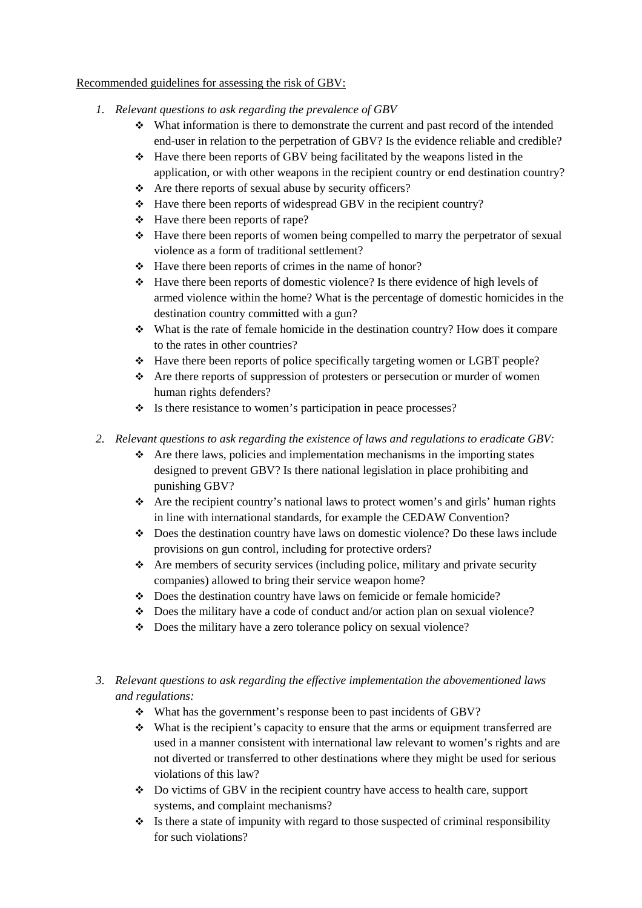## Recommended guidelines for assessing the risk of GBV:

- *1. Relevant questions to ask regarding the prevalence of GBV* 
	- What information is there to demonstrate the current and past record of the intended end-user in relation to the perpetration of GBV? Is the evidence reliable and credible?
	- Have there been reports of GBV being facilitated by the weapons listed in the application, or with other weapons in the recipient country or end destination country?
	- $\triangle$  Are there reports of sexual abuse by security officers?
	- $\div$  Have there been reports of widespread GBV in the recipient country?
	- $\div$  Have there been reports of rape?
	- $\div$  Have there been reports of women being compelled to marry the perpetrator of sexual violence as a form of traditional settlement?
	- $\div$  Have there been reports of crimes in the name of honor?
	- $\cdot \cdot$  Have there been reports of domestic violence? Is there evidence of high levels of armed violence within the home? What is the percentage of domestic homicides in the destination country committed with a gun?
	- What is the rate of female homicide in the destination country? How does it compare to the rates in other countries?
	- Have there been reports of police specifically targeting women or LGBT people?
	- $\triangle$  Are there reports of suppression of protesters or persecution or murder of women human rights defenders?
	- $\cdot \cdot$  Is there resistance to women's participation in peace processes?
- *2. Relevant questions to ask regarding the existence of laws and regulations to eradicate GBV:* 
	- $\triangle$  Are there laws, policies and implementation mechanisms in the importing states designed to prevent GBV? Is there national legislation in place prohibiting and punishing GBV?
	- Are the recipient country's national laws to protect women's and girls' human rights in line with international standards, for example the CEDAW Convention?
	- Does the destination country have laws on domestic violence? Do these laws include provisions on gun control, including for protective orders?
	- $\triangle$  Are members of security services (including police, military and private security companies) allowed to bring their service weapon home?
	- Does the destination country have laws on femicide or female homicide?
	- $\bullet$  Does the military have a code of conduct and/or action plan on sexual violence?
	- Does the military have a zero tolerance policy on sexual violence?
- *3. Relevant questions to ask regarding the effective implementation the abovementioned laws and regulations:* 
	- What has the government's response been to past incidents of GBV?
	- $\cdot$  What is the recipient's capacity to ensure that the arms or equipment transferred are used in a manner consistent with international law relevant to women's rights and are not diverted or transferred to other destinations where they might be used for serious violations of this law?
	- Do victims of GBV in the recipient country have access to health care, support systems, and complaint mechanisms?
	- $\cdot$  Is there a state of impunity with regard to those suspected of criminal responsibility for such violations?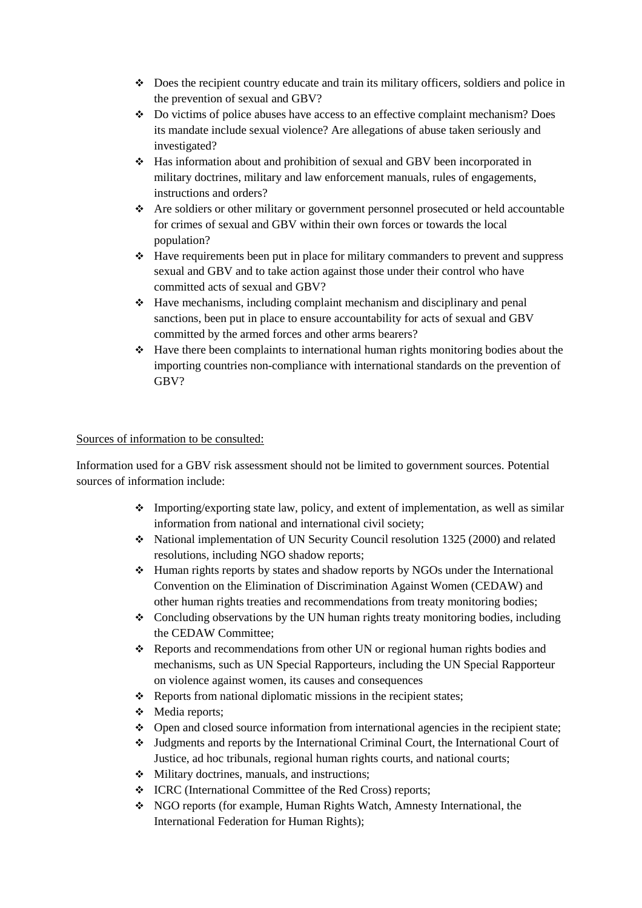- Does the recipient country educate and train its military officers, soldiers and police in the prevention of sexual and GBV?
- Do victims of police abuses have access to an effective complaint mechanism? Does its mandate include sexual violence? Are allegations of abuse taken seriously and investigated?
- Has information about and prohibition of sexual and GBV been incorporated in military doctrines, military and law enforcement manuals, rules of engagements, instructions and orders?
- Are soldiers or other military or government personnel prosecuted or held accountable for crimes of sexual and GBV within their own forces or towards the local population?
- Have requirements been put in place for military commanders to prevent and suppress sexual and GBV and to take action against those under their control who have committed acts of sexual and GBV?
- $\div$  Have mechanisms, including complaint mechanism and disciplinary and penal sanctions, been put in place to ensure accountability for acts of sexual and GBV committed by the armed forces and other arms bearers?
- $\cdot \cdot$  Have there been complaints to international human rights monitoring bodies about the importing countries non-compliance with international standards on the prevention of GBV?

## Sources of information to be consulted:

Information used for a GBV risk assessment should not be limited to government sources. Potential sources of information include:

- $\triangle$  Importing/exporting state law, policy, and extent of implementation, as well as similar information from national and international civil society;
- National implementation of UN Security Council resolution 1325 (2000) and related resolutions, including NGO shadow reports;
- Human rights reports by states and shadow reports by NGOs under the International Convention on the Elimination of Discrimination Against Women (CEDAW) and other human rights treaties and recommendations from treaty monitoring bodies;
- $\div$  Concluding observations by the UN human rights treaty monitoring bodies, including the CEDAW Committee;
- Reports and recommendations from other UN or regional human rights bodies and mechanisms, such as UN Special Rapporteurs, including the UN Special Rapporteur on violence against women, its causes and consequences
- $\triangle$  Reports from national diplomatic missions in the recipient states;
- Media reports;
- $\bullet$  Open and closed source information from international agencies in the recipient state;
- Judgments and reports by the International Criminal Court, the International Court of Justice, ad hoc tribunals, regional human rights courts, and national courts;
- $\triangleleft$  Military doctrines, manuals, and instructions;
- ICRC (International Committee of the Red Cross) reports;
- NGO reports (for example, Human Rights Watch, Amnesty International, the International Federation for Human Rights);